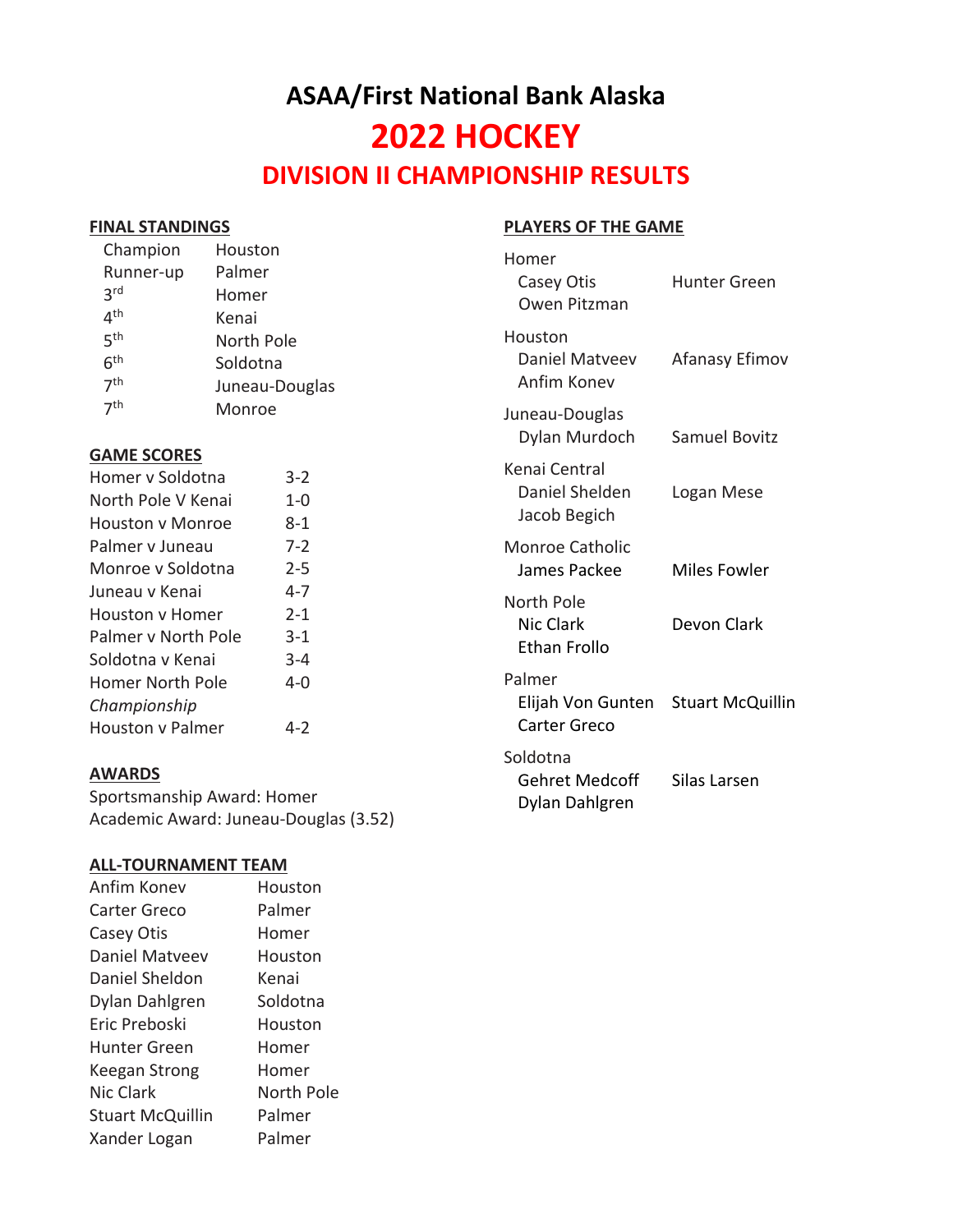# **ASAA/First National Bank Alaska 2022 HOCKEY DIVISION II CHAMPIONSHIP RESULTS**

#### **FINAL STANDINGS**

| <b>PLAYERS OF THE GAME</b> |
|----------------------------|
|----------------------------|

| Champion<br>Runner-up<br>3 <sup>rd</sup><br>4 <sup>th</sup>                                       | Houston<br>Palmer<br>Homer<br>Kenai |                                          | Homer<br>Casey Otis<br>Owen Pitzman             | <b>Hunter Green</b>     |
|---------------------------------------------------------------------------------------------------|-------------------------------------|------------------------------------------|-------------------------------------------------|-------------------------|
| 5 <sup>th</sup><br>North Pole<br>6 <sup>th</sup><br>Soldotna<br>7 <sup>th</sup><br>Juneau-Douglas |                                     |                                          | Houston<br>Daniel Matveev<br>Anfim Konev        | Afanasy Efimov          |
| 7 <sup>th</sup>                                                                                   | Monroe                              |                                          | Juneau-Douglas<br>Dylan Murdoch                 | Samuel Bovitz           |
| <b>GAME SCORES</b><br>Homer v Soldotna<br>North Pole V Kenai<br><b>Houston y Monroe</b>           |                                     | $3 - 2$<br>$1 - 0$<br>$8 - 1$            | Kenai Central<br>Daniel Shelden<br>Jacob Begich | Logan Mese              |
| Palmer v Juneau<br>Monroe v Soldotna                                                              |                                     | $7 - 2$<br>$2 - 5$                       | Monroe Catholic<br>James Packee                 | Miles Fowler            |
| Juneau v Kenai<br>Houston v Homer<br>Palmer v North Pole<br>Soldotna v Kenai                      |                                     | $4 - 7$<br>$2 - 1$<br>$3 - 1$<br>$3 - 4$ | North Pole<br>Nic Clark<br>Ethan Frollo         | Devon Clark             |
| Homer North Pole<br>Championship<br>Houston v Palmer                                              |                                     | $4 - 0$<br>$4 - 2$                       | Palmer<br>Elijah Von Gunten<br>Carter Greco     | <b>Stuart McQuillin</b> |
|                                                                                                   |                                     |                                          | Soldotna                                        |                         |

Gehret Medcoff Silas Larsen Dylan Dahlgren

## **AWARDS**

Sportsmanship Award: Homer Academic Award: Juneau-Douglas (3.52)

#### **ALL-TOURNAMENT TEAM**

| Anfim Konev             | Houston    |
|-------------------------|------------|
| Carter Greco            | Palmer     |
| Casey Otis              | Homer      |
| Daniel Matyeev          | Houston    |
| Daniel Sheldon          | Kenai      |
| Dylan Dahlgren          | Soldotna   |
| Eric Preboski           | Houston    |
| <b>Hunter Green</b>     | Homer      |
| Keegan Strong           | Homer      |
| <b>Nic Clark</b>        | North Pole |
| <b>Stuart McQuillin</b> | Palmer     |
| Xander Logan            | Palmer     |